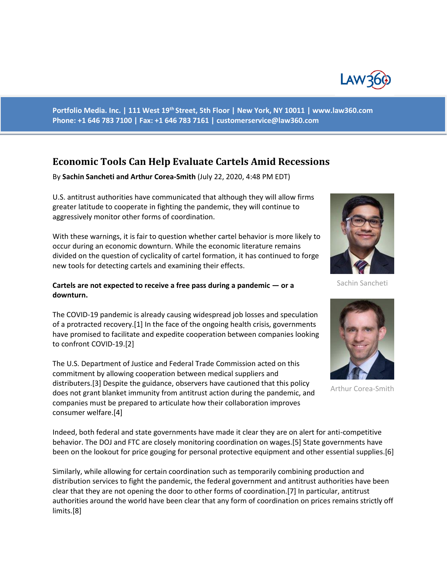

**Portfolio Media. Inc. | 111 West 19th Street, 5th Floor | New York, NY 10011 | www.law360.com Phone: +1 646 783 7100 | Fax: +1 646 783 7161 | customerservice@law360.com**

## **Economic Tools Can Help Evaluate Cartels Amid Recessions**

By **Sachin Sancheti and Arthur Corea-Smith** (July 22, 2020, 4:48 PM EDT)

U.S. antitrust authorities have communicated that although they will allow firms greater latitude to cooperate in fighting the pandemic, they will continue to aggressively monitor other forms of coordination.

With these warnings, it is fair to question whether cartel behavior is more likely to occur during an economic downturn. While the economic literature remains divided on the question of cyclicality of cartel formation, it has continued to forge new tools for detecting cartels and examining their effects.

## **Cartels are not expected to receive a free pass during a pandemic — or a downturn.**

The COVID-19 pandemic is already causing widespread job losses and speculation of a protracted recovery.[1] In the face of the ongoing health crisis, governments have promised to facilitate and expedite cooperation between companies looking to confront COVID-19.[2]

The U.S. Department of Justice and Federal Trade Commission acted on this commitment by allowing cooperation between medical suppliers and distributers.[3] Despite the guidance, observers have cautioned that this policy does not grant blanket immunity from antitrust action during the pandemic, and companies must be prepared to articulate how their collaboration improves consumer welfare.[4]

Sachin Sancheti



Arthur Corea-Smith

Indeed, both federal and state governments have made it clear they are on alert for anti-competitive behavior. The DOJ and FTC are closely monitoring coordination on wages.[5] State governments have been on the lookout for price gouging for personal protective equipment and other essential supplies.[6]

Similarly, while allowing for certain coordination such as temporarily combining production and distribution services to fight the pandemic, the federal government and antitrust authorities have been clear that they are not opening the door to other forms of coordination.[7] In particular, antitrust authorities around the world have been clear that any form of coordination on prices remains strictly off limits.[8]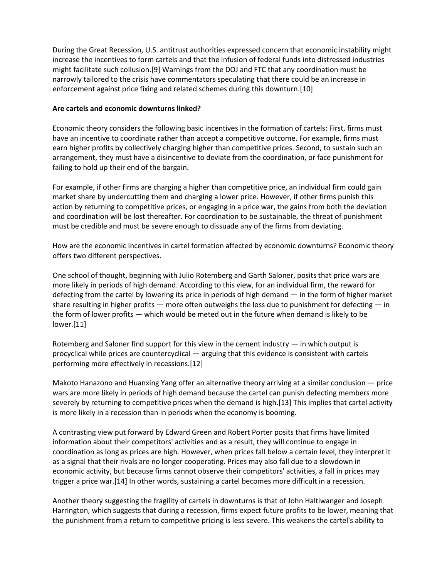During the Great Recession, U.S. antitrust authorities expressed concern that economic instability might increase the incentives to form cartels and that the infusion of federal funds into distressed industries might facilitate such collusion.[9] Warnings from the DOJ and FTC that any coordination must be narrowly tailored to the crisis have commentators speculating that there could be an increase in enforcement against price fixing and related schemes during this downturn.[10]

## **Are cartels and economic downturns linked?**

Economic theory considers the following basic incentives in the formation of cartels: First, firms must have an incentive to coordinate rather than accept a competitive outcome. For example, firms must earn higher profits by collectively charging higher than competitive prices. Second, to sustain such an arrangement, they must have a disincentive to deviate from the coordination, or face punishment for failing to hold up their end of the bargain.

For example, if other firms are charging a higher than competitive price, an individual firm could gain market share by undercutting them and charging a lower price. However, if other firms punish this action by returning to competitive prices, or engaging in a price war, the gains from both the deviation and coordination will be lost thereafter. For coordination to be sustainable, the threat of punishment must be credible and must be severe enough to dissuade any of the firms from deviating.

How are the economic incentives in cartel formation affected by economic downturns? Economic theory offers two different perspectives.

One school of thought, beginning with Julio Rotemberg and Garth Saloner, posits that price wars are more likely in periods of high demand. According to this view, for an individual firm, the reward for defecting from the cartel by lowering its price in periods of high demand — in the form of higher market share resulting in higher profits — more often outweighs the loss due to punishment for defecting — in the form of lower profits — which would be meted out in the future when demand is likely to be lower.[11]

Rotemberg and Saloner find support for this view in the cement industry — in which output is procyclical while prices are countercyclical — arguing that this evidence is consistent with cartels performing more effectively in recessions.[12]

Makoto Hanazono and Huanxing Yang offer an alternative theory arriving at a similar conclusion — price wars are more likely in periods of high demand because the cartel can punish defecting members more severely by returning to competitive prices when the demand is high.[13] This implies that cartel activity is more likely in a recession than in periods when the economy is booming.

A contrasting view put forward by Edward Green and Robert Porter posits that firms have limited information about their competitors' activities and as a result, they will continue to engage in coordination as long as prices are high. However, when prices fall below a certain level, they interpret it as a signal that their rivals are no longer cooperating. Prices may also fall due to a slowdown in economic activity, but because firms cannot observe their competitors' activities, a fall in prices may trigger a price war.[14] In other words, sustaining a cartel becomes more difficult in a recession.

Another theory suggesting the fragility of cartels in downturns is that of John Haltiwanger and Joseph Harrington, which suggests that during a recession, firms expect future profits to be lower, meaning that the punishment from a return to competitive pricing is less severe. This weakens the cartel's ability to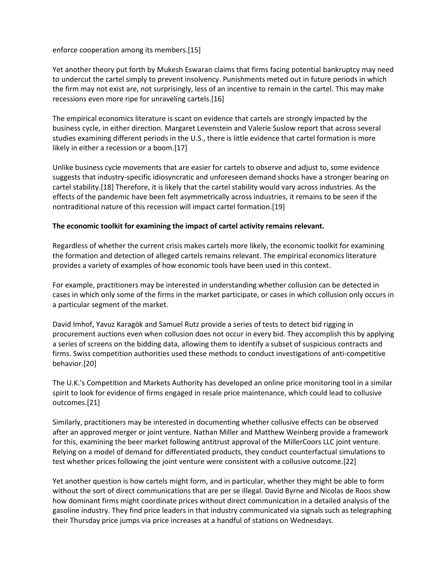enforce cooperation among its members.[15]

Yet another theory put forth by Mukesh Eswaran claims that firms facing potential bankruptcy may need to undercut the cartel simply to prevent insolvency. Punishments meted out in future periods in which the firm may not exist are, not surprisingly, less of an incentive to remain in the cartel. This may make recessions even more ripe for unraveling cartels.[16]

The empirical economics literature is scant on evidence that cartels are strongly impacted by the business cycle, in either direction. Margaret Levenstein and Valerie Suslow report that across several studies examining different periods in the U.S., there is little evidence that cartel formation is more likely in either a recession or a boom.[17]

Unlike business cycle movements that are easier for cartels to observe and adjust to, some evidence suggests that industry-specific idiosyncratic and unforeseen demand shocks have a stronger bearing on cartel stability.[18] Therefore, it is likely that the cartel stability would vary across industries. As the effects of the pandemic have been felt asymmetrically across industries, it remains to be seen if the nontraditional nature of this recession will impact cartel formation.[19]

## **The economic toolkit for examining the impact of cartel activity remains relevant.**

Regardless of whether the current crisis makes cartels more likely, the economic toolkit for examining the formation and detection of alleged cartels remains relevant. The empirical economics literature provides a variety of examples of how economic tools have been used in this context.

For example, practitioners may be interested in understanding whether collusion can be detected in cases in which only some of the firms in the market participate, or cases in which collusion only occurs in a particular segment of the market.

David Imhof, Yavuz Karagök and Samuel Rutz provide a series of tests to detect bid rigging in procurement auctions even when collusion does not occur in every bid. They accomplish this by applying a series of screens on the bidding data, allowing them to identify a subset of suspicious contracts and firms. Swiss competition authorities used these methods to conduct investigations of anti-competitive behavior.[20]

The U.K.'s Competition and Markets Authority has developed an online price monitoring tool in a similar spirit to look for evidence of firms engaged in resale price maintenance, which could lead to collusive outcomes.[21]

Similarly, practitioners may be interested in documenting whether collusive effects can be observed after an approved merger or joint venture. Nathan Miller and Matthew Weinberg provide a framework for this, examining the beer market following antitrust approval of the MillerCoors LLC joint venture. Relying on a model of demand for differentiated products, they conduct counterfactual simulations to test whether prices following the joint venture were consistent with a collusive outcome.[22]

Yet another question is how cartels might form, and in particular, whether they might be able to form without the sort of direct communications that are per se illegal. David Byrne and Nicolas de Roos show how dominant firms might coordinate prices without direct communication in a detailed analysis of the gasoline industry. They find price leaders in that industry communicated via signals such as telegraphing their Thursday price jumps via price increases at a handful of stations on Wednesdays.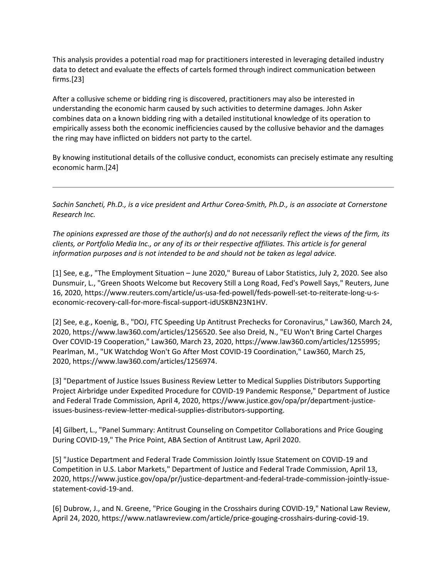This analysis provides a potential road map for practitioners interested in leveraging detailed industry data to detect and evaluate the effects of cartels formed through indirect communication between firms.[23]

After a collusive scheme or bidding ring is discovered, practitioners may also be interested in understanding the economic harm caused by such activities to determine damages. John Asker combines data on a known bidding ring with a detailed institutional knowledge of its operation to empirically assess both the economic inefficiencies caused by the collusive behavior and the damages the ring may have inflicted on bidders not party to the cartel.

By knowing institutional details of the collusive conduct, economists can precisely estimate any resulting economic harm.[24]

*Sachin Sancheti, Ph.D., is a vice president and Arthur Corea-Smith, Ph.D., is an associate at Cornerstone Research Inc.*

*The opinions expressed are those of the author(s) and do not necessarily reflect the views of the firm, its clients, or Portfolio Media Inc., or any of its or their respective affiliates. This article is for general information purposes and is not intended to be and should not be taken as legal advice.*

[1] See, e.g., "The Employment Situation – June 2020," Bureau of Labor Statistics, July 2, 2020. See also Dunsmuir, L., "Green Shoots Welcome but Recovery Still a Long Road, Fed's Powell Says," Reuters, June 16, 2020, https://www.reuters.com/article/us-usa-fed-powell/feds-powell-set-to-reiterate-long-u-seconomic-recovery-call-for-more-fiscal-support-idUSKBN23N1HV.

[2] See, e.g., Koenig, B., "DOJ, FTC Speeding Up Antitrust Prechecks for Coronavirus," Law360, March 24, 2020, https://www.law360.com/articles/1256520. See also Dreid, N., "EU Won't Bring Cartel Charges Over COVID-19 Cooperation," Law360, March 23, 2020, https://www.law360.com/articles/1255995; Pearlman, M., "UK Watchdog Won't Go After Most COVID-19 Coordination," Law360, March 25, 2020, https://www.law360.com/articles/1256974.

[3] "Department of Justice Issues Business Review Letter to Medical Supplies Distributors Supporting Project Airbridge under Expedited Procedure for COVID-19 Pandemic Response," Department of Justice and Federal Trade Commission, April 4, 2020, https://www.justice.gov/opa/pr/department-justiceissues-business-review-letter-medical-supplies-distributors-supporting.

[4] Gilbert, L., "Panel Summary: Antitrust Counseling on Competitor Collaborations and Price Gouging During COVID-19," The Price Point, ABA Section of Antitrust Law, April 2020.

[5] "Justice Department and Federal Trade Commission Jointly Issue Statement on COVID-19 and Competition in U.S. Labor Markets," Department of Justice and Federal Trade Commission, April 13, 2020, https://www.justice.gov/opa/pr/justice-department-and-federal-trade-commission-jointly-issuestatement-covid-19-and.

[6] Dubrow, J., and N. Greene, "Price Gouging in the Crosshairs during COVID-19," National Law Review, April 24, 2020, https://www.natlawreview.com/article/price-gouging-crosshairs-during-covid-19.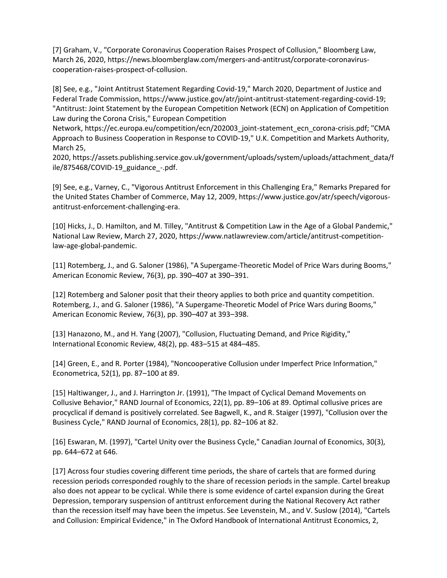[7] Graham, V., "Corporate Coronavirus Cooperation Raises Prospect of Collusion," Bloomberg Law, March 26, 2020, https://news.bloomberglaw.com/mergers-and-antitrust/corporate-coronaviruscooperation-raises-prospect-of-collusion.

[8] See, e.g., "Joint Antitrust Statement Regarding Covid-19," March 2020, Department of Justice and Federal Trade Commission, https://www.justice.gov/atr/joint-antitrust-statement-regarding-covid-19; "Antitrust: Joint Statement by the European Competition Network (ECN) on Application of Competition Law during the Corona Crisis," European Competition

Network, https://ec.europa.eu/competition/ecn/202003\_joint-statement\_ecn\_corona-crisis.pdf; "CMA Approach to Business Cooperation in Response to COVID-19," U.K. Competition and Markets Authority, March 25,

2020, https://assets.publishing.service.gov.uk/government/uploads/system/uploads/attachment\_data/f ile/875468/COVID-19\_guidance\_-.pdf.

[9] See, e.g., Varney, C., "Vigorous Antitrust Enforcement in this Challenging Era," Remarks Prepared for the United States Chamber of Commerce, May 12, 2009, https://www.justice.gov/atr/speech/vigorousantitrust-enforcement-challenging-era.

[10] Hicks, J., D. Hamilton, and M. Tilley, "Antitrust & Competition Law in the Age of a Global Pandemic," National Law Review, March 27, 2020, https://www.natlawreview.com/article/antitrust-competitionlaw-age-global-pandemic.

[11] Rotemberg, J., and G. Saloner (1986), "A Supergame-Theoretic Model of Price Wars during Booms," American Economic Review, 76(3), pp. 390–407 at 390–391.

[12] Rotemberg and Saloner posit that their theory applies to both price and quantity competition. Rotemberg, J., and G. Saloner (1986), "A Supergame-Theoretic Model of Price Wars during Booms," American Economic Review, 76(3), pp. 390–407 at 393–398.

[13] Hanazono, M., and H. Yang (2007), "Collusion, Fluctuating Demand, and Price Rigidity," International Economic Review, 48(2), pp. 483–515 at 484–485.

[14] Green, E., and R. Porter (1984), "Noncooperative Collusion under Imperfect Price Information," Econometrica, 52(1), pp. 87–100 at 89.

[15] Haltiwanger, J., and J. Harrington Jr. (1991), "The Impact of Cyclical Demand Movements on Collusive Behavior," RAND Journal of Economics, 22(1), pp. 89–106 at 89. Optimal collusive prices are procyclical if demand is positively correlated. See Bagwell, K., and R. Staiger (1997), "Collusion over the Business Cycle," RAND Journal of Economics, 28(1), pp. 82–106 at 82.

[16] Eswaran, M. (1997), "Cartel Unity over the Business Cycle," Canadian Journal of Economics, 30(3), pp. 644–672 at 646.

[17] Across four studies covering different time periods, the share of cartels that are formed during recession periods corresponded roughly to the share of recession periods in the sample. Cartel breakup also does not appear to be cyclical. While there is some evidence of cartel expansion during the Great Depression, temporary suspension of antitrust enforcement during the National Recovery Act rather than the recession itself may have been the impetus. See Levenstein, M., and V. Suslow (2014), "Cartels and Collusion: Empirical Evidence," in The Oxford Handbook of International Antitrust Economics, 2,